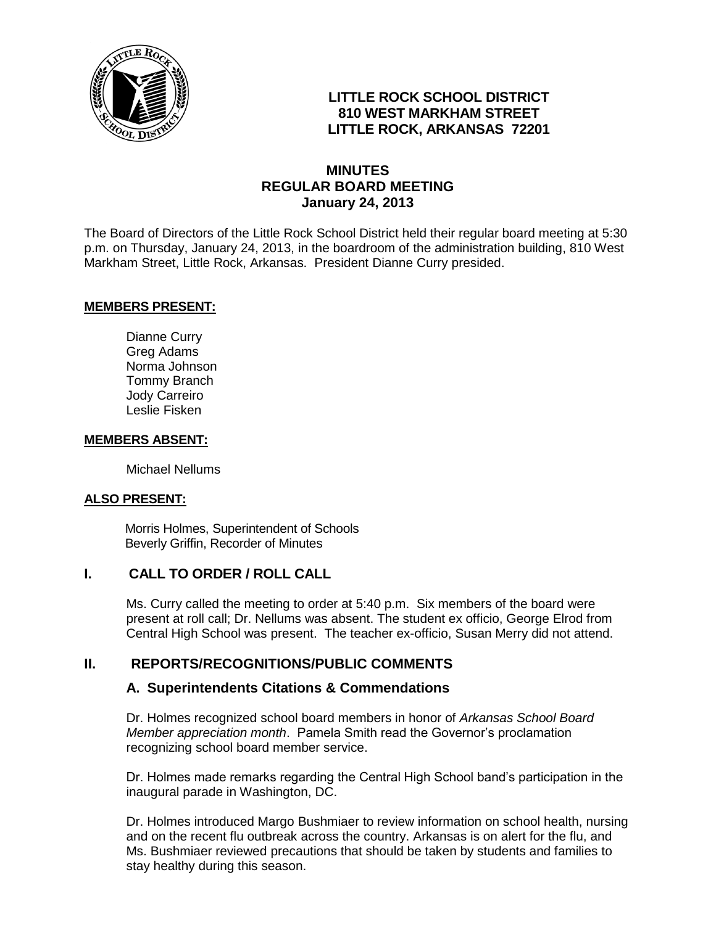

# **LITTLE ROCK SCHOOL DISTRICT 810 WEST MARKHAM STREET LITTLE ROCK, ARKANSAS 72201**

# **MINUTES REGULAR BOARD MEETING January 24, 2013**

The Board of Directors of the Little Rock School District held their regular board meeting at 5:30 p.m. on Thursday, January 24, 2013, in the boardroom of the administration building, 810 West Markham Street, Little Rock, Arkansas. President Dianne Curry presided.

#### **MEMBERS PRESENT:**

Dianne Curry Greg Adams Norma Johnson Tommy Branch Jody Carreiro Leslie Fisken

#### **MEMBERS ABSENT:**

Michael Nellums

#### **ALSO PRESENT:**

 Morris Holmes, Superintendent of Schools Beverly Griffin, Recorder of Minutes

### **I. CALL TO ORDER / ROLL CALL**

Ms. Curry called the meeting to order at 5:40 p.m. Six members of the board were present at roll call; Dr. Nellums was absent. The student ex officio, George Elrod from Central High School was present. The teacher ex-officio, Susan Merry did not attend.

### **II. REPORTS/RECOGNITIONS/PUBLIC COMMENTS**

# **A. Superintendents Citations & Commendations**

Dr. Holmes recognized school board members in honor of *Arkansas School Board Member appreciation month*. Pamela Smith read the Governor's proclamation recognizing school board member service.

Dr. Holmes made remarks regarding the Central High School band's participation in the inaugural parade in Washington, DC.

Dr. Holmes introduced Margo Bushmiaer to review information on school health, nursing and on the recent flu outbreak across the country. Arkansas is on alert for the flu, and Ms. Bushmiaer reviewed precautions that should be taken by students and families to stay healthy during this season.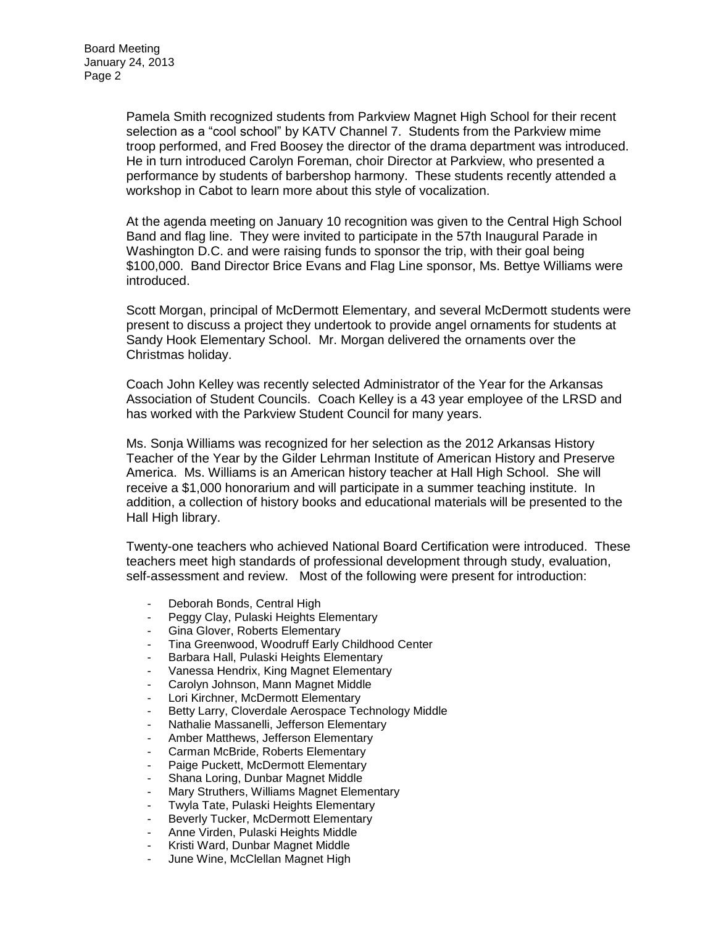Pamela Smith recognized students from Parkview Magnet High School for their recent selection as a "cool school" by KATV Channel 7. Students from the Parkview mime troop performed, and Fred Boosey the director of the drama department was introduced. He in turn introduced Carolyn Foreman, choir Director at Parkview, who presented a performance by students of barbershop harmony. These students recently attended a workshop in Cabot to learn more about this style of vocalization.

At the agenda meeting on January 10 recognition was given to the Central High School Band and flag line. They were invited to participate in the 57th Inaugural Parade in Washington D.C. and were raising funds to sponsor the trip, with their goal being \$100,000. Band Director Brice Evans and Flag Line sponsor, Ms. Bettye Williams were introduced.

Scott Morgan, principal of McDermott Elementary, and several McDermott students were present to discuss a project they undertook to provide angel ornaments for students at Sandy Hook Elementary School. Mr. Morgan delivered the ornaments over the Christmas holiday.

Coach John Kelley was recently selected Administrator of the Year for the Arkansas Association of Student Councils. Coach Kelley is a 43 year employee of the LRSD and has worked with the Parkview Student Council for many years.

Ms. Sonja Williams was recognized for her selection as the 2012 Arkansas History Teacher of the Year by the Gilder Lehrman Institute of American History and Preserve America. Ms. Williams is an American history teacher at Hall High School. She will receive a \$1,000 honorarium and will participate in a summer teaching institute. In addition, a collection of history books and educational materials will be presented to the Hall High library.

Twenty-one teachers who achieved National Board Certification were introduced. These teachers meet high standards of professional development through study, evaluation, self-assessment and review. Most of the following were present for introduction:

- Deborah Bonds, Central High
- Peggy Clay, Pulaski Heights Elementary
- Gina Glover, Roberts Elementary
- Tina Greenwood, Woodruff Early Childhood Center
- Barbara Hall, Pulaski Heights Elementary
- Vanessa Hendrix, King Magnet Elementary
- Carolyn Johnson, Mann Magnet Middle
- Lori Kirchner, McDermott Elementary
- Betty Larry, Cloverdale Aerospace Technology Middle
- Nathalie Massanelli, Jefferson Elementary
- Amber Matthews, Jefferson Elementary
- Carman McBride, Roberts Elementary
- Paige Puckett, McDermott Elementary
- Shana Loring, Dunbar Magnet Middle
- Mary Struthers, Williams Magnet Elementary
- Twyla Tate, Pulaski Heights Elementary
- Beverly Tucker, McDermott Elementary
- Anne Virden, Pulaski Heights Middle
- Kristi Ward, Dunbar Magnet Middle
- June Wine, McClellan Magnet High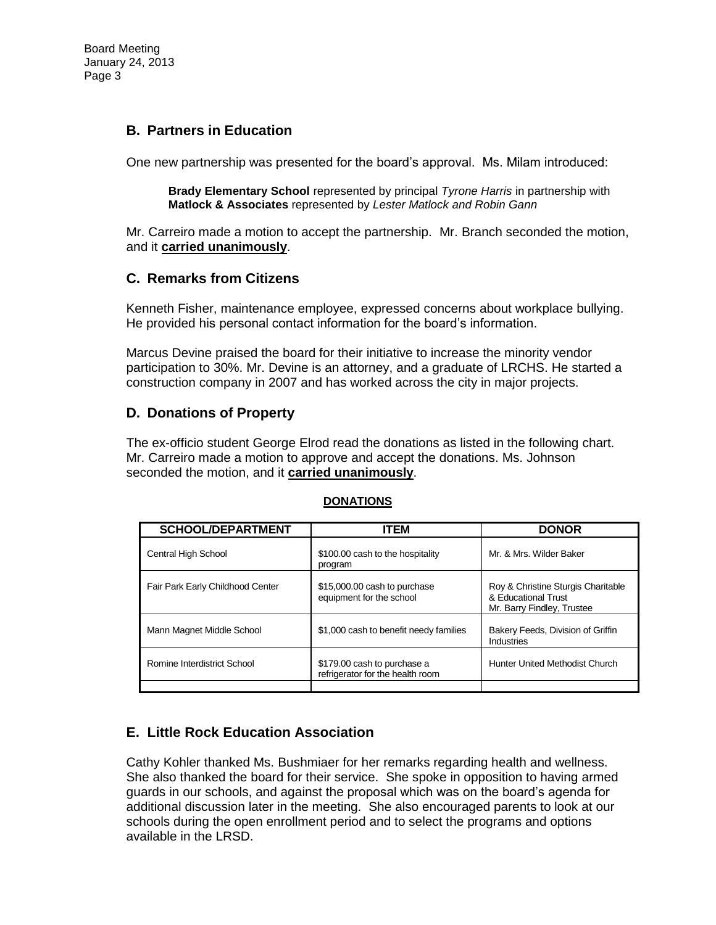#### **B. Partners in Education**

One new partnership was presented for the board's approval. Ms. Milam introduced:

**Brady Elementary School** represented by principal *Tyrone Harris* in partnership with **Matlock & Associates** represented by *Lester Matlock and Robin Gann*

Mr. Carreiro made a motion to accept the partnership. Mr. Branch seconded the motion, and it **carried unanimously**.

#### **C. Remarks from Citizens**

Kenneth Fisher, maintenance employee, expressed concerns about workplace bullying. He provided his personal contact information for the board's information.

Marcus Devine praised the board for their initiative to increase the minority vendor participation to 30%. Mr. Devine is an attorney, and a graduate of LRCHS. He started a construction company in 2007 and has worked across the city in major projects.

#### **D. Donations of Property**

The ex-officio student George Elrod read the donations as listed in the following chart. Mr. Carreiro made a motion to approve and accept the donations. Ms. Johnson seconded the motion, and it **carried unanimously**.

| ITEM                                                            | <b>DONOR</b>                                                                            |
|-----------------------------------------------------------------|-----------------------------------------------------------------------------------------|
| \$100.00 cash to the hospitality<br>program                     | Mr. & Mrs. Wilder Baker                                                                 |
| \$15,000.00 cash to purchase<br>equipment for the school        | Roy & Christine Sturgis Charitable<br>& Educational Trust<br>Mr. Barry Findley, Trustee |
| \$1,000 cash to benefit needy families                          | Bakery Feeds, Division of Griffin<br>Industries                                         |
| \$179.00 cash to purchase a<br>refrigerator for the health room | <b>Hunter United Methodist Church</b>                                                   |
|                                                                 |                                                                                         |

#### **DONATIONS**

### **E. Little Rock Education Association**

Cathy Kohler thanked Ms. Bushmiaer for her remarks regarding health and wellness. She also thanked the board for their service. She spoke in opposition to having armed guards in our schools, and against the proposal which was on the board's agenda for additional discussion later in the meeting. She also encouraged parents to look at our schools during the open enrollment period and to select the programs and options available in the LRSD.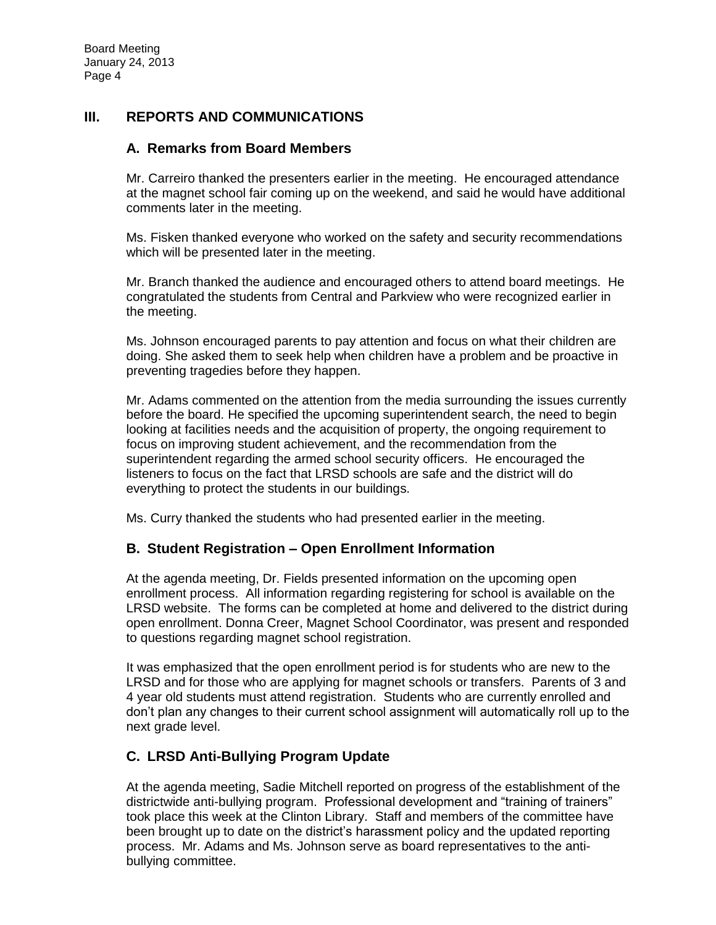#### **III. REPORTS AND COMMUNICATIONS**

#### **A. Remarks from Board Members**

Mr. Carreiro thanked the presenters earlier in the meeting. He encouraged attendance at the magnet school fair coming up on the weekend, and said he would have additional comments later in the meeting.

Ms. Fisken thanked everyone who worked on the safety and security recommendations which will be presented later in the meeting.

Mr. Branch thanked the audience and encouraged others to attend board meetings. He congratulated the students from Central and Parkview who were recognized earlier in the meeting.

Ms. Johnson encouraged parents to pay attention and focus on what their children are doing. She asked them to seek help when children have a problem and be proactive in preventing tragedies before they happen.

Mr. Adams commented on the attention from the media surrounding the issues currently before the board. He specified the upcoming superintendent search, the need to begin looking at facilities needs and the acquisition of property, the ongoing requirement to focus on improving student achievement, and the recommendation from the superintendent regarding the armed school security officers. He encouraged the listeners to focus on the fact that LRSD schools are safe and the district will do everything to protect the students in our buildings.

Ms. Curry thanked the students who had presented earlier in the meeting.

### **B. Student Registration – Open Enrollment Information**

At the agenda meeting, Dr. Fields presented information on the upcoming open enrollment process. All information regarding registering for school is available on the LRSD website. The forms can be completed at home and delivered to the district during open enrollment. Donna Creer, Magnet School Coordinator, was present and responded to questions regarding magnet school registration.

It was emphasized that the open enrollment period is for students who are new to the LRSD and for those who are applying for magnet schools or transfers. Parents of 3 and 4 year old students must attend registration. Students who are currently enrolled and don't plan any changes to their current school assignment will automatically roll up to the next grade level.

# **C. LRSD Anti-Bullying Program Update**

At the agenda meeting, Sadie Mitchell reported on progress of the establishment of the districtwide anti-bullying program. Professional development and "training of trainers" took place this week at the Clinton Library. Staff and members of the committee have been brought up to date on the district's harassment policy and the updated reporting process. Mr. Adams and Ms. Johnson serve as board representatives to the antibullying committee.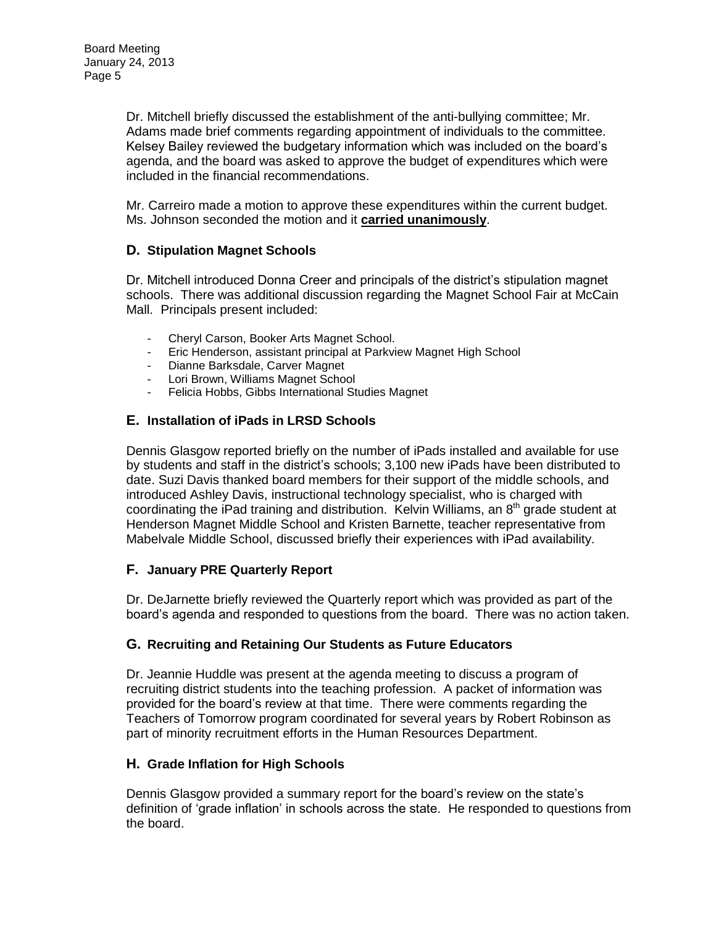Dr. Mitchell briefly discussed the establishment of the anti-bullying committee; Mr. Adams made brief comments regarding appointment of individuals to the committee. Kelsey Bailey reviewed the budgetary information which was included on the board's agenda, and the board was asked to approve the budget of expenditures which were included in the financial recommendations.

Mr. Carreiro made a motion to approve these expenditures within the current budget. Ms. Johnson seconded the motion and it **carried unanimously**.

#### **D. Stipulation Magnet Schools**

Dr. Mitchell introduced Donna Creer and principals of the district's stipulation magnet schools. There was additional discussion regarding the Magnet School Fair at McCain Mall. Principals present included:

- Cheryl Carson, Booker Arts Magnet School.
- Eric Henderson, assistant principal at Parkview Magnet High School
- Dianne Barksdale, Carver Magnet
- Lori Brown, Williams Magnet School
- Felicia Hobbs, Gibbs International Studies Magnet

#### **E. Installation of iPads in LRSD Schools**

Dennis Glasgow reported briefly on the number of iPads installed and available for use by students and staff in the district's schools; 3,100 new iPads have been distributed to date. Suzi Davis thanked board members for their support of the middle schools, and introduced Ashley Davis, instructional technology specialist, who is charged with coordinating the iPad training and distribution. Kelvin Williams, an 8<sup>th</sup> grade student at Henderson Magnet Middle School and Kristen Barnette, teacher representative from Mabelvale Middle School, discussed briefly their experiences with iPad availability.

#### **F. January PRE Quarterly Report**

Dr. DeJarnette briefly reviewed the Quarterly report which was provided as part of the board's agenda and responded to questions from the board. There was no action taken.

#### **G. Recruiting and Retaining Our Students as Future Educators**

Dr. Jeannie Huddle was present at the agenda meeting to discuss a program of recruiting district students into the teaching profession. A packet of information was provided for the board's review at that time. There were comments regarding the Teachers of Tomorrow program coordinated for several years by Robert Robinson as part of minority recruitment efforts in the Human Resources Department.

#### **H. Grade Inflation for High Schools**

Dennis Glasgow provided a summary report for the board's review on the state's definition of 'grade inflation' in schools across the state. He responded to questions from the board.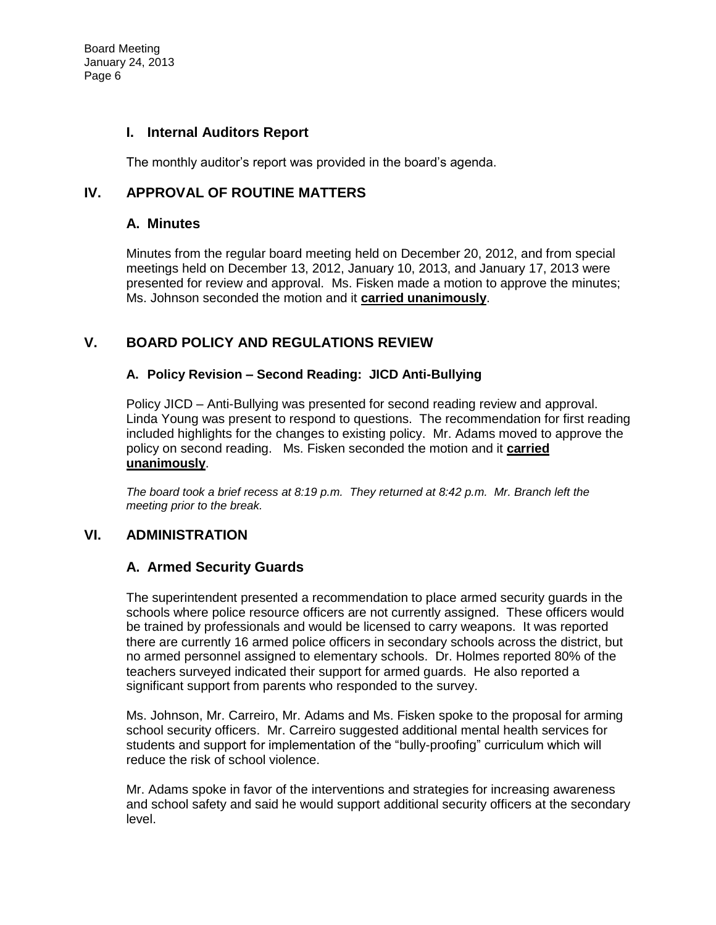#### **I. Internal Auditors Report**

The monthly auditor's report was provided in the board's agenda.

#### **IV. APPROVAL OF ROUTINE MATTERS**

#### **A. Minutes**

Minutes from the regular board meeting held on December 20, 2012, and from special meetings held on December 13, 2012, January 10, 2013, and January 17, 2013 were presented for review and approval. Ms. Fisken made a motion to approve the minutes; Ms. Johnson seconded the motion and it **carried unanimously**.

### **V. BOARD POLICY AND REGULATIONS REVIEW**

#### **A. Policy Revision – Second Reading: JICD Anti-Bullying**

Policy JICD – Anti-Bullying was presented for second reading review and approval. Linda Young was present to respond to questions. The recommendation for first reading included highlights for the changes to existing policy. Mr. Adams moved to approve the policy on second reading. Ms. Fisken seconded the motion and it **carried unanimously**.

*The board took a brief recess at 8:19 p.m. They returned at 8:42 p.m. Mr. Branch left the meeting prior to the break.* 

### **VI. ADMINISTRATION**

#### **A. Armed Security Guards**

The superintendent presented a recommendation to place armed security guards in the schools where police resource officers are not currently assigned. These officers would be trained by professionals and would be licensed to carry weapons. It was reported there are currently 16 armed police officers in secondary schools across the district, but no armed personnel assigned to elementary schools. Dr. Holmes reported 80% of the teachers surveyed indicated their support for armed guards. He also reported a significant support from parents who responded to the survey.

Ms. Johnson, Mr. Carreiro, Mr. Adams and Ms. Fisken spoke to the proposal for arming school security officers. Mr. Carreiro suggested additional mental health services for students and support for implementation of the "bully-proofing" curriculum which will reduce the risk of school violence.

Mr. Adams spoke in favor of the interventions and strategies for increasing awareness and school safety and said he would support additional security officers at the secondary level.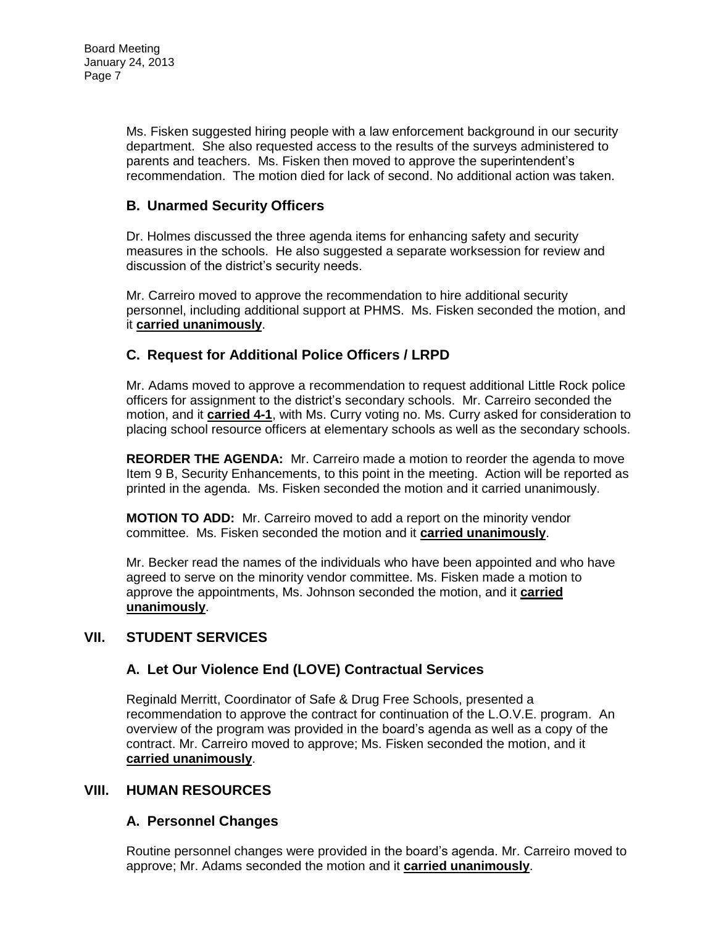Ms. Fisken suggested hiring people with a law enforcement background in our security department. She also requested access to the results of the surveys administered to parents and teachers. Ms. Fisken then moved to approve the superintendent's recommendation. The motion died for lack of second. No additional action was taken.

# **B. Unarmed Security Officers**

Dr. Holmes discussed the three agenda items for enhancing safety and security measures in the schools. He also suggested a separate worksession for review and discussion of the district's security needs.

Mr. Carreiro moved to approve the recommendation to hire additional security personnel, including additional support at PHMS. Ms. Fisken seconded the motion, and it **carried unanimously**.

# **C. Request for Additional Police Officers / LRPD**

Mr. Adams moved to approve a recommendation to request additional Little Rock police officers for assignment to the district's secondary schools. Mr. Carreiro seconded the motion, and it **carried 4-1**, with Ms. Curry voting no. Ms. Curry asked for consideration to placing school resource officers at elementary schools as well as the secondary schools.

**REORDER THE AGENDA:** Mr. Carreiro made a motion to reorder the agenda to move Item 9 B, Security Enhancements, to this point in the meeting. Action will be reported as printed in the agenda. Ms. Fisken seconded the motion and it carried unanimously.

**MOTION TO ADD:** Mr. Carreiro moved to add a report on the minority vendor committee. Ms. Fisken seconded the motion and it **carried unanimously**.

Mr. Becker read the names of the individuals who have been appointed and who have agreed to serve on the minority vendor committee. Ms. Fisken made a motion to approve the appointments, Ms. Johnson seconded the motion, and it **carried unanimously**.

### **VII. STUDENT SERVICES**

# **A. Let Our Violence End (LOVE) Contractual Services**

Reginald Merritt, Coordinator of Safe & Drug Free Schools, presented a recommendation to approve the contract for continuation of the L.O.V.E. program. An overview of the program was provided in the board's agenda as well as a copy of the contract. Mr. Carreiro moved to approve; Ms. Fisken seconded the motion, and it **carried unanimously**.

#### **VIII. HUMAN RESOURCES**

### **A. Personnel Changes**

Routine personnel changes were provided in the board's agenda. Mr. Carreiro moved to approve; Mr. Adams seconded the motion and it **carried unanimously**.